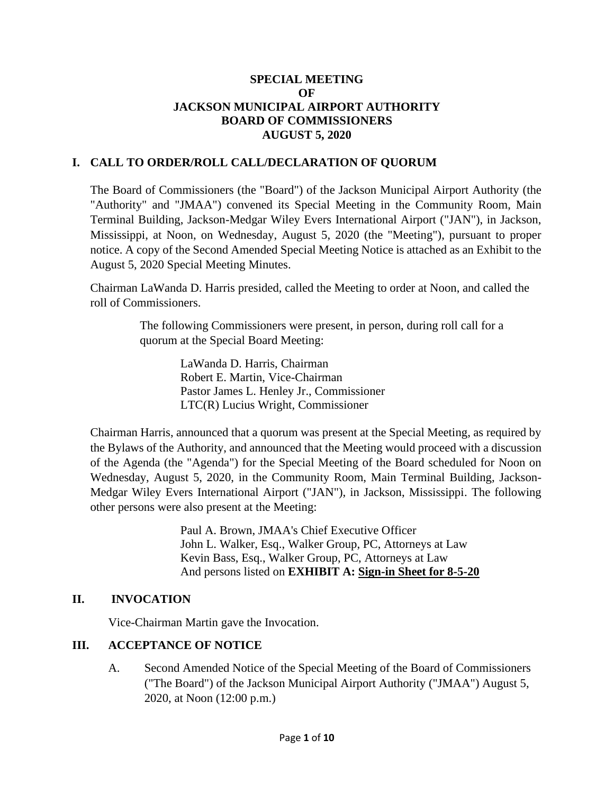### **SPECIAL MEETING OF JACKSON MUNICIPAL AIRPORT AUTHORITY BOARD OF COMMISSIONERS AUGUST 5, 2020**

# **I. CALL TO ORDER/ROLL CALL/DECLARATION OF QUORUM**

The Board of Commissioners (the "Board") of the Jackson Municipal Airport Authority (the "Authority" and "JMAA") convened its Special Meeting in the Community Room, Main Terminal Building, Jackson-Medgar Wiley Evers International Airport ("JAN"), in Jackson, Mississippi, at Noon, on Wednesday, August 5, 2020 (the "Meeting"), pursuant to proper notice. A copy of the Second Amended Special Meeting Notice is attached as an Exhibit to the August 5, 2020 Special Meeting Minutes.

Chairman LaWanda D. Harris presided, called the Meeting to order at Noon, and called the roll of Commissioners.

> The following Commissioners were present, in person, during roll call for a quorum at the Special Board Meeting:

> > LaWanda D. Harris, Chairman Robert E. Martin, Vice-Chairman Pastor James L. Henley Jr., Commissioner LTC(R) Lucius Wright, Commissioner

Chairman Harris, announced that a quorum was present at the Special Meeting, as required by the Bylaws of the Authority, and announced that the Meeting would proceed with a discussion of the Agenda (the "Agenda") for the Special Meeting of the Board scheduled for Noon on Wednesday, August 5, 2020, in the Community Room, Main Terminal Building, Jackson-Medgar Wiley Evers International Airport ("JAN"), in Jackson, Mississippi. The following other persons were also present at the Meeting:

> Paul A. Brown, JMAA's Chief Executive Officer John L. Walker, Esq., Walker Group, PC, Attorneys at Law Kevin Bass, Esq., Walker Group, PC, Attorneys at Law And persons listed on **EXHIBIT A: Sign[-in](file:///C:/Users/kevin/AppData/Local/Microsoft/Windows/Temporary%20Internet%20Files/2019-01-28%20Board%20Meeting/2017-07-27%20Board%20Meeting/2016-09-22%20Board%20Meeting/Rescheduled%20Regular%20Board%20Meeting%20Sign%20in%20Sheet%20August%2029%202016.pdf) Sheet for 8-5-20**

## **II. INVOCATION**

Vice-Chairman Martin gave the Invocation.

## **III. ACCEPTANCE OF NOTICE**

A. Second Amended Notice of the Special Meeting of the Board of Commissioners ("The Board") of the Jackson Municipal Airport Authority ("JMAA") August 5, 2020, at Noon (12:00 p.m.)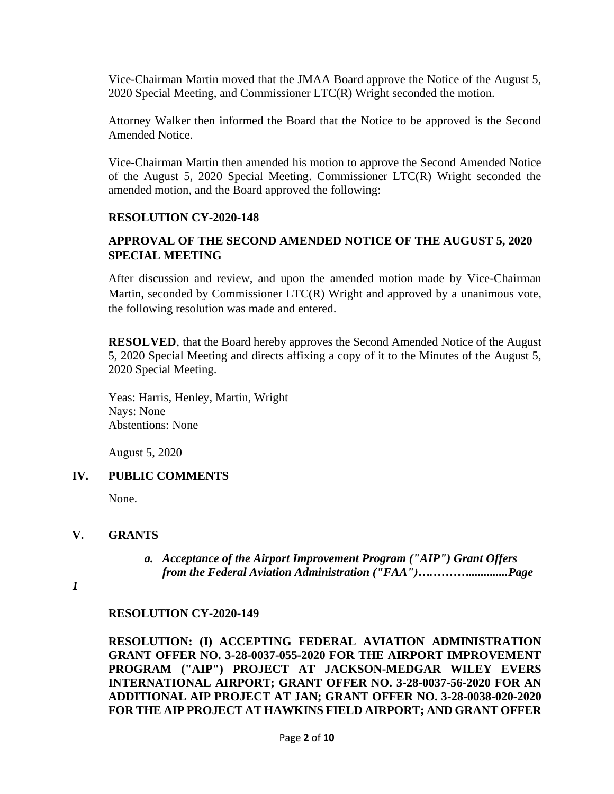Vice-Chairman Martin moved that the JMAA Board approve the Notice of the August 5, 2020 Special Meeting, and Commissioner LTC(R) Wright seconded the motion.

Attorney Walker then informed the Board that the Notice to be approved is the Second Amended Notice.

Vice-Chairman Martin then amended his motion to approve the Second Amended Notice of the August 5, 2020 Special Meeting. Commissioner LTC(R) Wright seconded the amended motion, and the Board approved the following:

### **RESOLUTION CY-2020-148**

# **APPROVAL OF THE SECOND AMENDED NOTICE OF THE AUGUST 5, 2020 SPECIAL MEETING**

After discussion and review, and upon the amended motion made by Vice-Chairman Martin, seconded by Commissioner LTC(R) Wright and approved by a unanimous vote, the following resolution was made and entered.

**RESOLVED**, that the Board hereby approves the Second Amended Notice of the August 5, 2020 Special Meeting and directs affixing a copy of it to the Minutes of the August 5, 2020 Special Meeting.

Yeas: Harris, Henley, Martin, Wright Nays: None Abstentions: None

August 5, 2020

## **IV. PUBLIC COMMENTS**

None.

#### **V. GRANTS**

*a. Acceptance of the Airport Improvement Program ("AIP") Grant Offers from the Federal Aviation Administration ("FAA")….……….............Page* 

*1*

#### **RESOLUTION CY-2020-149**

**RESOLUTION: (I) ACCEPTING FEDERAL AVIATION ADMINISTRATION GRANT OFFER NO. 3-28-0037-055-2020 FOR THE AIRPORT IMPROVEMENT PROGRAM ("AIP") PROJECT AT JACKSON-MEDGAR WILEY EVERS INTERNATIONAL AIRPORT; GRANT OFFER NO. 3-28-0037-56-2020 FOR AN ADDITIONAL AIP PROJECT AT JAN; GRANT OFFER NO. 3-28-0038-020-2020 FOR THE AIP PROJECT AT HAWKINS FIELD AIRPORT; AND GRANT OFFER**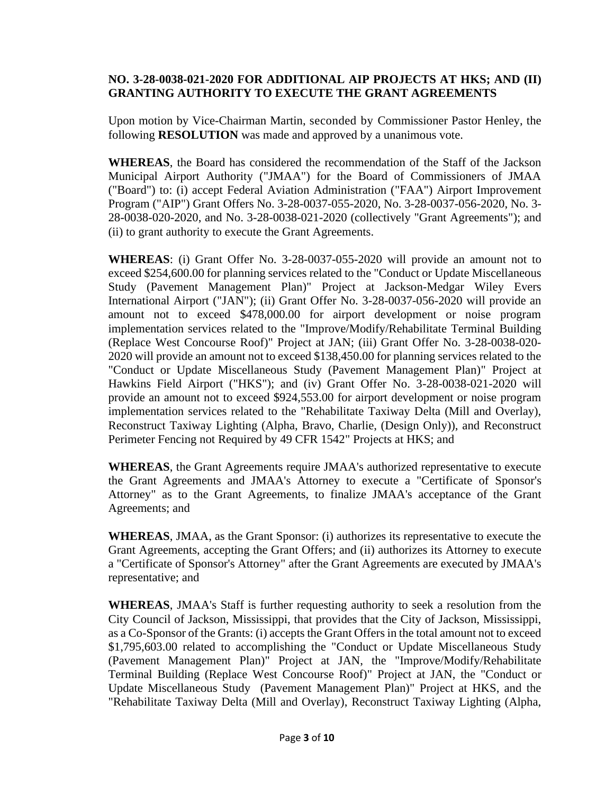## **NO. 3-28-0038-021-2020 FOR ADDITIONAL AIP PROJECTS AT HKS; AND (II) GRANTING AUTHORITY TO EXECUTE THE GRANT AGREEMENTS**

Upon motion by Vice-Chairman Martin, seconded by Commissioner Pastor Henley, the following **RESOLUTION** was made and approved by a unanimous vote.

**WHEREAS**, the Board has considered the recommendation of the Staff of the Jackson Municipal Airport Authority ("JMAA") for the Board of Commissioners of JMAA ("Board") to: (i) accept Federal Aviation Administration ("FAA") Airport Improvement Program ("AIP") Grant Offers No. 3-28-0037-055-2020, No. 3-28-0037-056-2020, No. 3- 28-0038-020-2020, and No. 3-28-0038-021-2020 (collectively "Grant Agreements"); and (ii) to grant authority to execute the Grant Agreements.

**WHEREAS**: (i) Grant Offer No. 3-28-0037-055-2020 will provide an amount not to exceed \$254,600.00 for planning services related to the "Conduct or Update Miscellaneous Study (Pavement Management Plan)" Project at Jackson-Medgar Wiley Evers International Airport ("JAN"); (ii) Grant Offer No. 3-28-0037-056-2020 will provide an amount not to exceed \$478,000.00 for airport development or noise program implementation services related to the "Improve/Modify/Rehabilitate Terminal Building (Replace West Concourse Roof)" Project at JAN; (iii) Grant Offer No. 3-28-0038-020- 2020 will provide an amount not to exceed \$138,450.00 for planning services related to the "Conduct or Update Miscellaneous Study (Pavement Management Plan)" Project at Hawkins Field Airport ("HKS"); and (iv) Grant Offer No. 3-28-0038-021-2020 will provide an amount not to exceed \$924,553.00 for airport development or noise program implementation services related to the "Rehabilitate Taxiway Delta (Mill and Overlay), Reconstruct Taxiway Lighting (Alpha, Bravo, Charlie, (Design Only)), and Reconstruct Perimeter Fencing not Required by 49 CFR 1542" Projects at HKS; and

**WHEREAS**, the Grant Agreements require JMAA's authorized representative to execute the Grant Agreements and JMAA's Attorney to execute a "Certificate of Sponsor's Attorney" as to the Grant Agreements, to finalize JMAA's acceptance of the Grant Agreements; and

**WHEREAS**, JMAA, as the Grant Sponsor: (i) authorizes its representative to execute the Grant Agreements, accepting the Grant Offers; and (ii) authorizes its Attorney to execute a "Certificate of Sponsor's Attorney" after the Grant Agreements are executed by JMAA's representative; and

**WHEREAS**, JMAA's Staff is further requesting authority to seek a resolution from the City Council of Jackson, Mississippi, that provides that the City of Jackson, Mississippi, as a Co-Sponsor of the Grants: (i) accepts the Grant Offers in the total amount not to exceed \$1,795,603.00 related to accomplishing the "Conduct or Update Miscellaneous Study (Pavement Management Plan)" Project at JAN, the "Improve/Modify/Rehabilitate Terminal Building (Replace West Concourse Roof)" Project at JAN, the "Conduct or Update Miscellaneous Study (Pavement Management Plan)" Project at HKS, and the "Rehabilitate Taxiway Delta (Mill and Overlay), Reconstruct Taxiway Lighting (Alpha,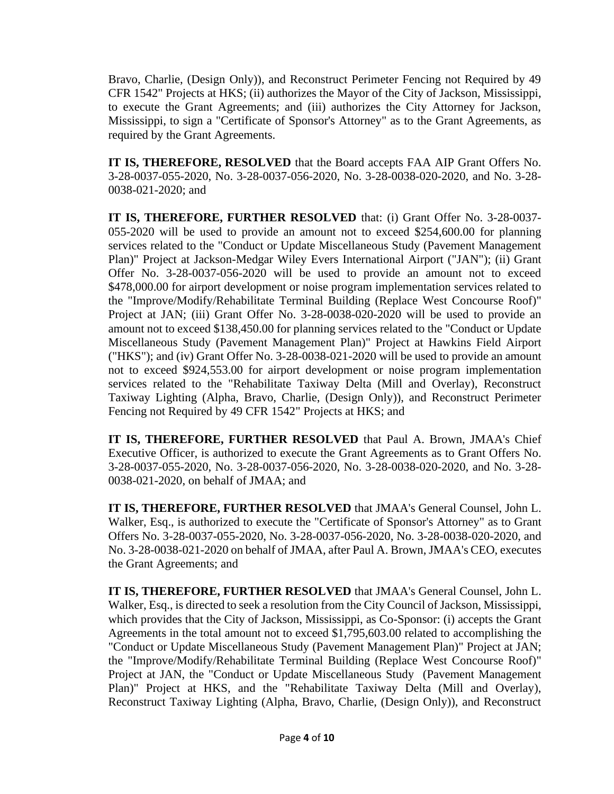Bravo, Charlie, (Design Only)), and Reconstruct Perimeter Fencing not Required by 49 CFR 1542" Projects at HKS; (ii) authorizes the Mayor of the City of Jackson, Mississippi, to execute the Grant Agreements; and (iii) authorizes the City Attorney for Jackson, Mississippi, to sign a "Certificate of Sponsor's Attorney" as to the Grant Agreements, as required by the Grant Agreements.

**IT IS, THEREFORE, RESOLVED** that the Board accepts FAA AIP Grant Offers No. 3-28-0037-055-2020, No. 3-28-0037-056-2020, No. 3-28-0038-020-2020, and No. 3-28- 0038-021-2020; and

**IT IS, THEREFORE, FURTHER RESOLVED** that: (i) Grant Offer No. 3-28-0037- 055-2020 will be used to provide an amount not to exceed \$254,600.00 for planning services related to the "Conduct or Update Miscellaneous Study (Pavement Management Plan)" Project at Jackson-Medgar Wiley Evers International Airport ("JAN"); (ii) Grant Offer No. 3-28-0037-056-2020 will be used to provide an amount not to exceed \$478,000.00 for airport development or noise program implementation services related to the "Improve/Modify/Rehabilitate Terminal Building (Replace West Concourse Roof)" Project at JAN; (iii) Grant Offer No. 3-28-0038-020-2020 will be used to provide an amount not to exceed \$138,450.00 for planning services related to the "Conduct or Update Miscellaneous Study (Pavement Management Plan)" Project at Hawkins Field Airport ("HKS"); and (iv) Grant Offer No. 3-28-0038-021-2020 will be used to provide an amount not to exceed \$924,553.00 for airport development or noise program implementation services related to the "Rehabilitate Taxiway Delta (Mill and Overlay), Reconstruct Taxiway Lighting (Alpha, Bravo, Charlie, (Design Only)), and Reconstruct Perimeter Fencing not Required by 49 CFR 1542" Projects at HKS; and

**IT IS, THEREFORE, FURTHER RESOLVED** that Paul A. Brown, JMAA's Chief Executive Officer, is authorized to execute the Grant Agreements as to Grant Offers No. 3-28-0037-055-2020, No. 3-28-0037-056-2020, No. 3-28-0038-020-2020, and No. 3-28- 0038-021-2020, on behalf of JMAA; and

**IT IS, THEREFORE, FURTHER RESOLVED** that JMAA's General Counsel, John L. Walker, Esq., is authorized to execute the "Certificate of Sponsor's Attorney" as to Grant Offers No. 3-28-0037-055-2020, No. 3-28-0037-056-2020, No. 3-28-0038-020-2020, and No. 3-28-0038-021-2020 on behalf of JMAA, after Paul A. Brown, JMAA's CEO, executes the Grant Agreements; and

**IT IS, THEREFORE, FURTHER RESOLVED** that JMAA's General Counsel, John L. Walker, Esq., is directed to seek a resolution from the City Council of Jackson, Mississippi, which provides that the City of Jackson, Mississippi, as Co-Sponsor: (i) accepts the Grant Agreements in the total amount not to exceed \$1,795,603.00 related to accomplishing the "Conduct or Update Miscellaneous Study (Pavement Management Plan)" Project at JAN; the "Improve/Modify/Rehabilitate Terminal Building (Replace West Concourse Roof)" Project at JAN, the "Conduct or Update Miscellaneous Study (Pavement Management Plan)" Project at HKS, and the "Rehabilitate Taxiway Delta (Mill and Overlay), Reconstruct Taxiway Lighting (Alpha, Bravo, Charlie, (Design Only)), and Reconstruct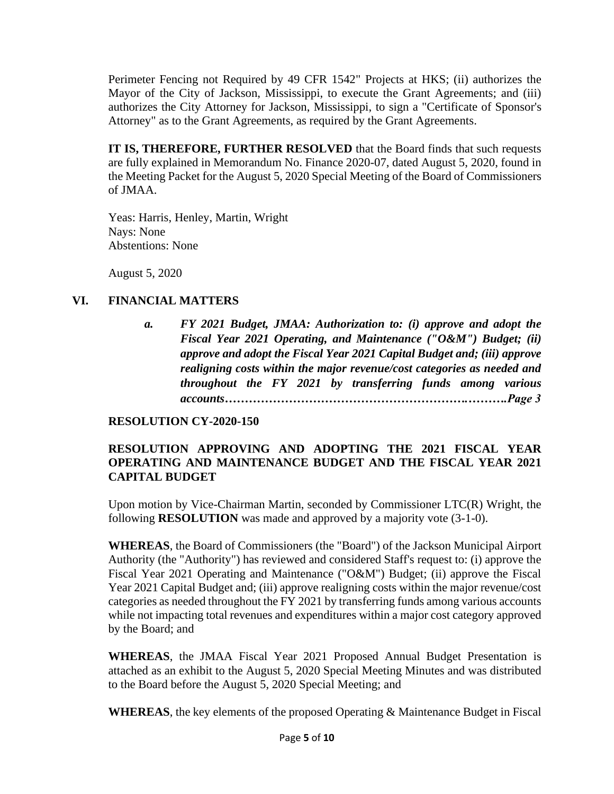Perimeter Fencing not Required by 49 CFR 1542" Projects at HKS; (ii) authorizes the Mayor of the City of Jackson, Mississippi, to execute the Grant Agreements; and (iii) authorizes the City Attorney for Jackson, Mississippi, to sign a "Certificate of Sponsor's Attorney" as to the Grant Agreements, as required by the Grant Agreements.

**IT IS, THEREFORE, FURTHER RESOLVED** that the Board finds that such requests are fully explained in Memorandum No. Finance 2020-07, dated August 5, 2020, found in the Meeting Packet for the August 5, 2020 Special Meeting of the Board of Commissioners of JMAA.

Yeas: Harris, Henley, Martin, Wright Nays: None Abstentions: None

August 5, 2020

## **VI. FINANCIAL MATTERS**

*a. FY 2021 Budget, JMAA: Authorization to: (i) approve and adopt the Fiscal Year 2021 Operating, and Maintenance ("O&M") Budget; (ii) approve and adopt the Fiscal Year 2021 Capital Budget and; (iii) approve realigning costs within the major revenue/cost categories as needed and throughout the FY 2021 by transferring funds among various accounts…………………………………………………….……….Page 3*

## **RESOLUTION CY-2020-150**

## **RESOLUTION APPROVING AND ADOPTING THE 2021 FISCAL YEAR OPERATING AND MAINTENANCE BUDGET AND THE FISCAL YEAR 2021 CAPITAL BUDGET**

Upon motion by Vice-Chairman Martin, seconded by Commissioner LTC(R) Wright, the following **RESOLUTION** was made and approved by a majority vote (3-1-0).

**WHEREAS**, the Board of Commissioners (the "Board") of the Jackson Municipal Airport Authority (the "Authority") has reviewed and considered Staff's request to: (i) approve the Fiscal Year 2021 Operating and Maintenance ("O&M") Budget; (ii) approve the Fiscal Year 2021 Capital Budget and; (iii) approve realigning costs within the major revenue/cost categories as needed throughout the FY 2021 by transferring funds among various accounts while not impacting total revenues and expenditures within a major cost category approved by the Board; and

**WHEREAS**, the JMAA Fiscal Year 2021 Proposed Annual Budget Presentation is attached as an exhibit to the August 5, 2020 Special Meeting Minutes and was distributed to the Board before the August 5, 2020 Special Meeting; and

**WHEREAS**, the key elements of the proposed Operating & Maintenance Budget in Fiscal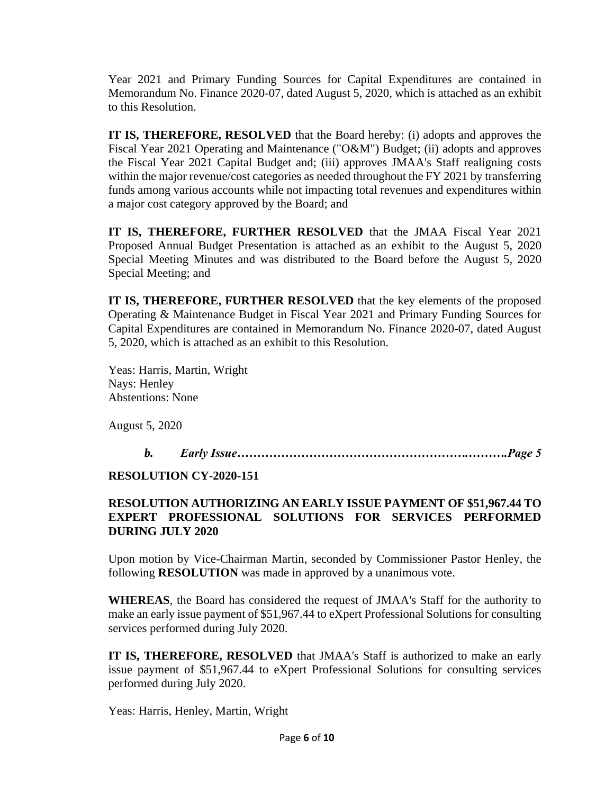Year 2021 and Primary Funding Sources for Capital Expenditures are contained in Memorandum No. Finance 2020-07, dated August 5, 2020, which is attached as an exhibit to this Resolution.

**IT IS, THEREFORE, RESOLVED** that the Board hereby: (i) adopts and approves the Fiscal Year 2021 Operating and Maintenance ("O&M") Budget; (ii) adopts and approves the Fiscal Year 2021 Capital Budget and; (iii) approves JMAA's Staff realigning costs within the major revenue/cost categories as needed throughout the FY 2021 by transferring funds among various accounts while not impacting total revenues and expenditures within a major cost category approved by the Board; and

**IT IS, THEREFORE, FURTHER RESOLVED** that the JMAA Fiscal Year 2021 Proposed Annual Budget Presentation is attached as an exhibit to the August 5, 2020 Special Meeting Minutes and was distributed to the Board before the August 5, 2020 Special Meeting; and

**IT IS, THEREFORE, FURTHER RESOLVED** that the key elements of the proposed Operating & Maintenance Budget in Fiscal Year 2021 and Primary Funding Sources for Capital Expenditures are contained in Memorandum No. Finance 2020-07, dated August 5, 2020, which is attached as an exhibit to this Resolution.

Yeas: Harris, Martin, Wright Nays: Henley Abstentions: None

August 5, 2020

*b. Early Issue………………………………………………….……….Page 5*

**RESOLUTION CY-2020-151**

# **RESOLUTION AUTHORIZING AN EARLY ISSUE PAYMENT OF \$51,967.44 TO EXPERT PROFESSIONAL SOLUTIONS FOR SERVICES PERFORMED DURING JULY 2020**

Upon motion by Vice-Chairman Martin, seconded by Commissioner Pastor Henley, the following **RESOLUTION** was made in approved by a unanimous vote.

**WHEREAS**, the Board has considered the request of JMAA's Staff for the authority to make an early issue payment of \$51,967.44 to eXpert Professional Solutions for consulting services performed during July 2020.

**IT IS, THEREFORE, RESOLVED** that JMAA's Staff is authorized to make an early issue payment of \$51,967.44 to eXpert Professional Solutions for consulting services performed during July 2020.

Yeas: Harris, Henley, Martin, Wright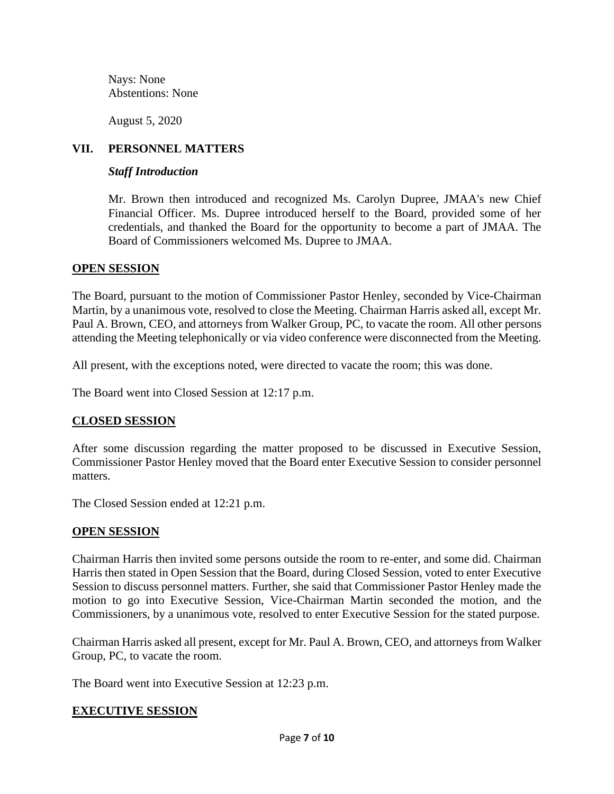Nays: None Abstentions: None

August 5, 2020

## **VII. PERSONNEL MATTERS**

### *Staff Introduction*

Mr. Brown then introduced and recognized Ms. Carolyn Dupree, JMAA's new Chief Financial Officer. Ms. Dupree introduced herself to the Board, provided some of her credentials, and thanked the Board for the opportunity to become a part of JMAA. The Board of Commissioners welcomed Ms. Dupree to JMAA.

### **OPEN SESSION**

The Board, pursuant to the motion of Commissioner Pastor Henley, seconded by Vice-Chairman Martin, by a unanimous vote, resolved to close the Meeting. Chairman Harris asked all, except Mr. Paul A. Brown, CEO, and attorneys from Walker Group, PC, to vacate the room. All other persons attending the Meeting telephonically or via video conference were disconnected from the Meeting.

All present, with the exceptions noted, were directed to vacate the room; this was done.

The Board went into Closed Session at 12:17 p.m.

## **CLOSED SESSION**

After some discussion regarding the matter proposed to be discussed in Executive Session, Commissioner Pastor Henley moved that the Board enter Executive Session to consider personnel matters.

The Closed Session ended at 12:21 p.m.

## **OPEN SESSION**

Chairman Harris then invited some persons outside the room to re-enter, and some did. Chairman Harris then stated in Open Session that the Board, during Closed Session, voted to enter Executive Session to discuss personnel matters. Further, she said that Commissioner Pastor Henley made the motion to go into Executive Session, Vice-Chairman Martin seconded the motion, and the Commissioners, by a unanimous vote, resolved to enter Executive Session for the stated purpose.

Chairman Harris asked all present, except for Mr. Paul A. Brown, CEO, and attorneys from Walker Group, PC, to vacate the room.

The Board went into Executive Session at 12:23 p.m.

## **EXECUTIVE SESSION**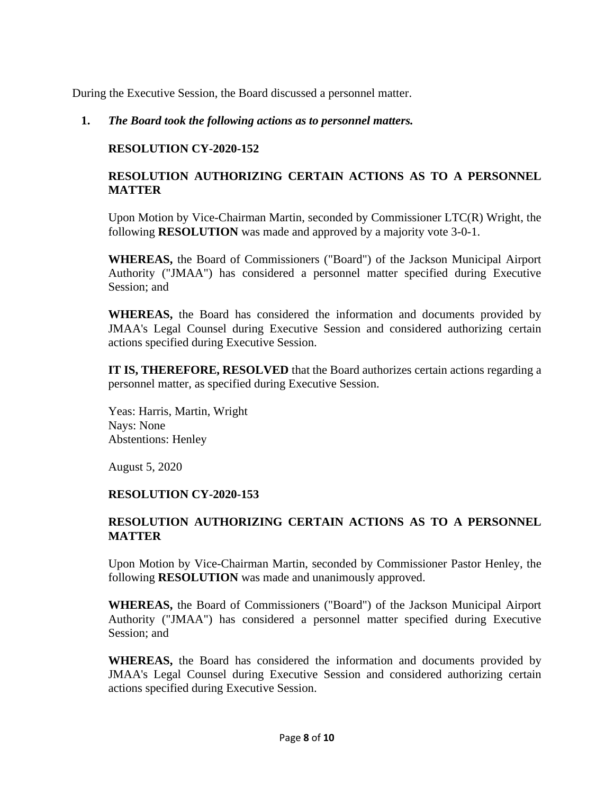During the Executive Session, the Board discussed a personnel matter.

### **1.** *The Board took the following actions as to personnel matters.*

### **RESOLUTION CY-2020-152**

## **RESOLUTION AUTHORIZING CERTAIN ACTIONS AS TO A PERSONNEL MATTER**

Upon Motion by Vice-Chairman Martin, seconded by Commissioner LTC(R) Wright, the following **RESOLUTION** was made and approved by a majority vote 3-0-1.

**WHEREAS,** the Board of Commissioners ("Board") of the Jackson Municipal Airport Authority ("JMAA") has considered a personnel matter specified during Executive Session; and

**WHEREAS,** the Board has considered the information and documents provided by JMAA's Legal Counsel during Executive Session and considered authorizing certain actions specified during Executive Session.

**IT IS, THEREFORE, RESOLVED** that the Board authorizes certain actions regarding a personnel matter, as specified during Executive Session.

Yeas: Harris, Martin, Wright Nays: None Abstentions: Henley

August 5, 2020

## **RESOLUTION CY-2020-153**

## **RESOLUTION AUTHORIZING CERTAIN ACTIONS AS TO A PERSONNEL MATTER**

Upon Motion by Vice-Chairman Martin, seconded by Commissioner Pastor Henley, the following **RESOLUTION** was made and unanimously approved.

**WHEREAS,** the Board of Commissioners ("Board") of the Jackson Municipal Airport Authority ("JMAA") has considered a personnel matter specified during Executive Session; and

**WHEREAS,** the Board has considered the information and documents provided by JMAA's Legal Counsel during Executive Session and considered authorizing certain actions specified during Executive Session.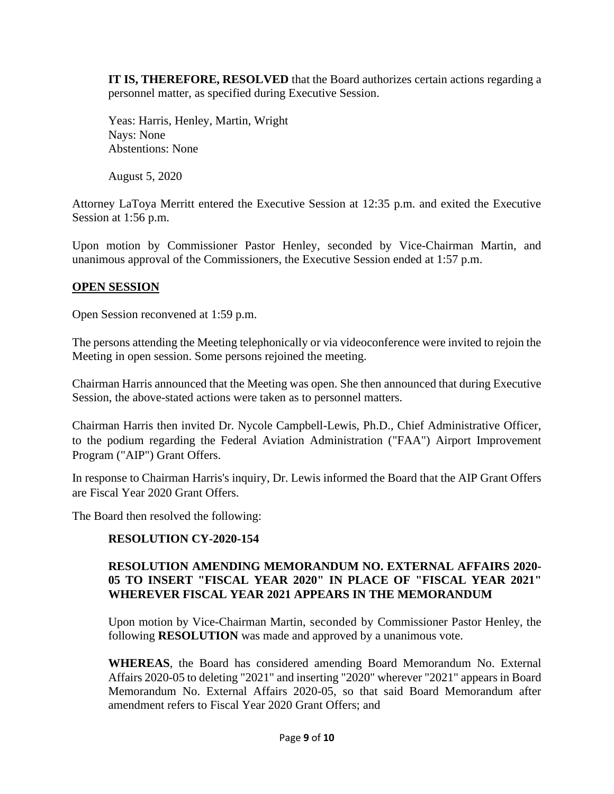**IT IS, THEREFORE, RESOLVED** that the Board authorizes certain actions regarding a personnel matter, as specified during Executive Session.

Yeas: Harris, Henley, Martin, Wright Nays: None Abstentions: None

August 5, 2020

Attorney LaToya Merritt entered the Executive Session at 12:35 p.m. and exited the Executive Session at 1:56 p.m.

Upon motion by Commissioner Pastor Henley, seconded by Vice-Chairman Martin, and unanimous approval of the Commissioners, the Executive Session ended at 1:57 p.m.

### **OPEN SESSION**

Open Session reconvened at 1:59 p.m.

The persons attending the Meeting telephonically or via videoconference were invited to rejoin the Meeting in open session. Some persons rejoined the meeting.

Chairman Harris announced that the Meeting was open. She then announced that during Executive Session, the above-stated actions were taken as to personnel matters.

Chairman Harris then invited Dr. Nycole Campbell-Lewis, Ph.D., Chief Administrative Officer, to the podium regarding the Federal Aviation Administration ("FAA") Airport Improvement Program ("AIP") Grant Offers.

In response to Chairman Harris's inquiry, Dr. Lewis informed the Board that the AIP Grant Offers are Fiscal Year 2020 Grant Offers.

The Board then resolved the following:

## **RESOLUTION CY-2020-154**

### **RESOLUTION AMENDING MEMORANDUM NO. EXTERNAL AFFAIRS 2020- 05 TO INSERT "FISCAL YEAR 2020" IN PLACE OF "FISCAL YEAR 2021" WHEREVER FISCAL YEAR 2021 APPEARS IN THE MEMORANDUM**

Upon motion by Vice-Chairman Martin, seconded by Commissioner Pastor Henley, the following **RESOLUTION** was made and approved by a unanimous vote.

**WHEREAS**, the Board has considered amending Board Memorandum No. External Affairs 2020-05 to deleting "2021" and inserting "2020" wherever "2021" appears in Board Memorandum No. External Affairs 2020-05, so that said Board Memorandum after amendment refers to Fiscal Year 2020 Grant Offers; and